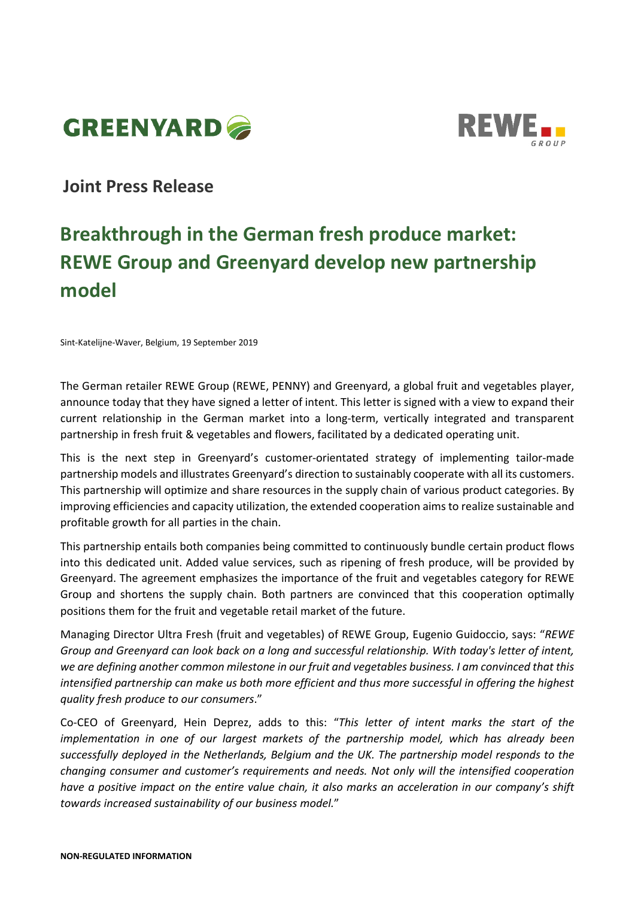



# **Joint Press Release**

# **Breakthrough in the German fresh produce market: REWE Group and Greenyard develop new partnership model**

Sint-Katelijne-Waver, Belgium, 19 September 2019

The German retailer REWE Group (REWE, PENNY) and Greenyard, a global fruit and vegetables player, announce today that they have signed a letter of intent. This letter is signed with a view to expand their current relationship in the German market into a long-term, vertically integrated and transparent partnership in fresh fruit & vegetables and flowers, facilitated by a dedicated operating unit.

This is the next step in Greenyard's customer-orientated strategy of implementing tailor-made partnership models and illustrates Greenyard's direction to sustainably cooperate with all its customers. This partnership will optimize and share resources in the supply chain of various product categories. By improving efficiencies and capacity utilization, the extended cooperation aims to realize sustainable and profitable growth for all parties in the chain.

This partnership entails both companies being committed to continuously bundle certain product flows into this dedicated unit. Added value services, such as ripening of fresh produce, will be provided by Greenyard. The agreement emphasizes the importance of the fruit and vegetables category for REWE Group and shortens the supply chain. Both partners are convinced that this cooperation optimally positions them for the fruit and vegetable retail market of the future.

Managing Director Ultra Fresh (fruit and vegetables) of REWE Group, Eugenio Guidoccio, says: "*REWE Group and Greenyard can look back on a long and successful relationship. With today's letter of intent, we are defining another common milestone in our fruit and vegetables business. I am convinced that this intensified partnership can make us both more efficient and thus more successful in offering the highest quality fresh produce to our consumers*."

Co-CEO of Greenyard, Hein Deprez, adds to this: "*This letter of intent marks the start of the implementation in one of our largest markets of the partnership model, which has already been successfully deployed in the Netherlands, Belgium and the UK. The partnership model responds to the changing consumer and customer's requirements and needs. Not only will the intensified cooperation have a positive impact on the entire value chain, it also marks an acceleration in our company's shift towards increased sustainability of our business model.*"